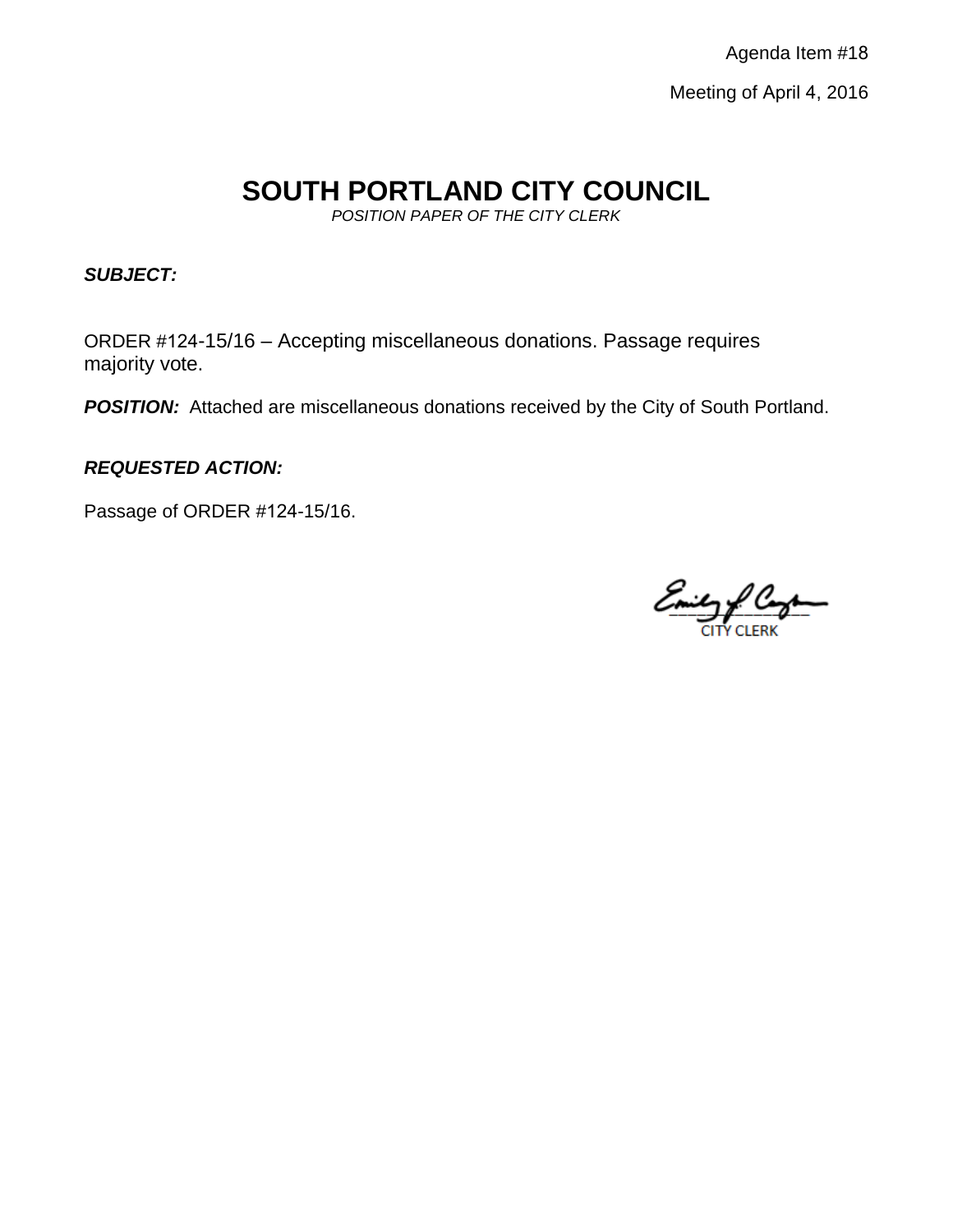Agenda Item #18 Meeting of April 4, 2016

# **SOUTH PORTLAND CITY COUNCIL**

*POSITION PAPER OF THE CITY CLERK*

*SUBJECT:* 

ORDER #124-15/16 – Accepting miscellaneous donations. Passage requires majority vote.

**POSITION:** Attached are miscellaneous donations received by the City of South Portland.

*REQUESTED ACTION:*

Passage of ORDER #124-15/16.

Emily & Congress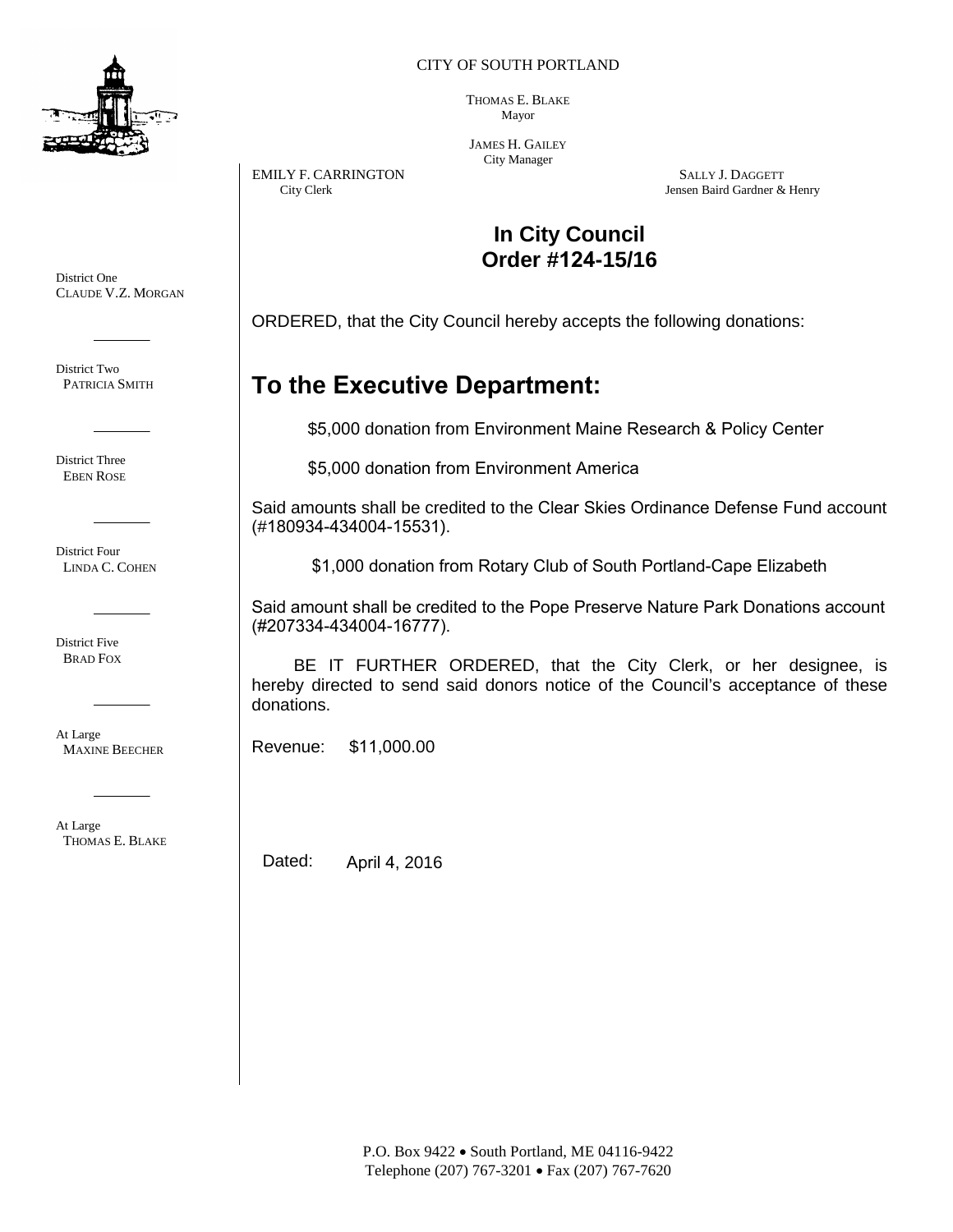

District One

District Two PATRICIA SMITH

District Three EBEN ROSE

District Four LINDA C. COHEN

District Five BRAD FOX

At Large

CLAUDE V.Z. MORGAN

CITY OF SOUTH PORTLAND

THOMAS E. BLAKE Mayor

JAMES H. GAILEY City Manager

EMILY F. CARRINGTON SALLY J. DAGGETT City Clerk (Stephan of the Second Level of the Second Level of the Second Level of the Second Level of the Second Level of the Second Level of the Second Level of the Second Level of th Jensen Baird Gardner & Henry

## **In City Council Order #124-15/16**

ORDERED, that the City Council hereby accepts the following donations:

## **To the Executive Department:**

\$5,000 donation from Environment Maine Research & Policy Center

\$5,000 donation from Environment America

Said amounts shall be credited to the Clear Skies Ordinance Defense Fund account (#180934-434004-15531).

\$1,000 donation from Rotary Club of South Portland-Cape Elizabeth

Said amount shall be credited to the Pope Preserve Nature Park Donations account (#207334-434004-16777).

BE IT FURTHER ORDERED, that the City Clerk, or her designee, is hereby directed to send said donors notice of the Council's acceptance of these donations.

Revenue: \$11,000.00

At Large THOMAS E. BLAKE

MAXINE BEECHER

Dated: April 4, 2016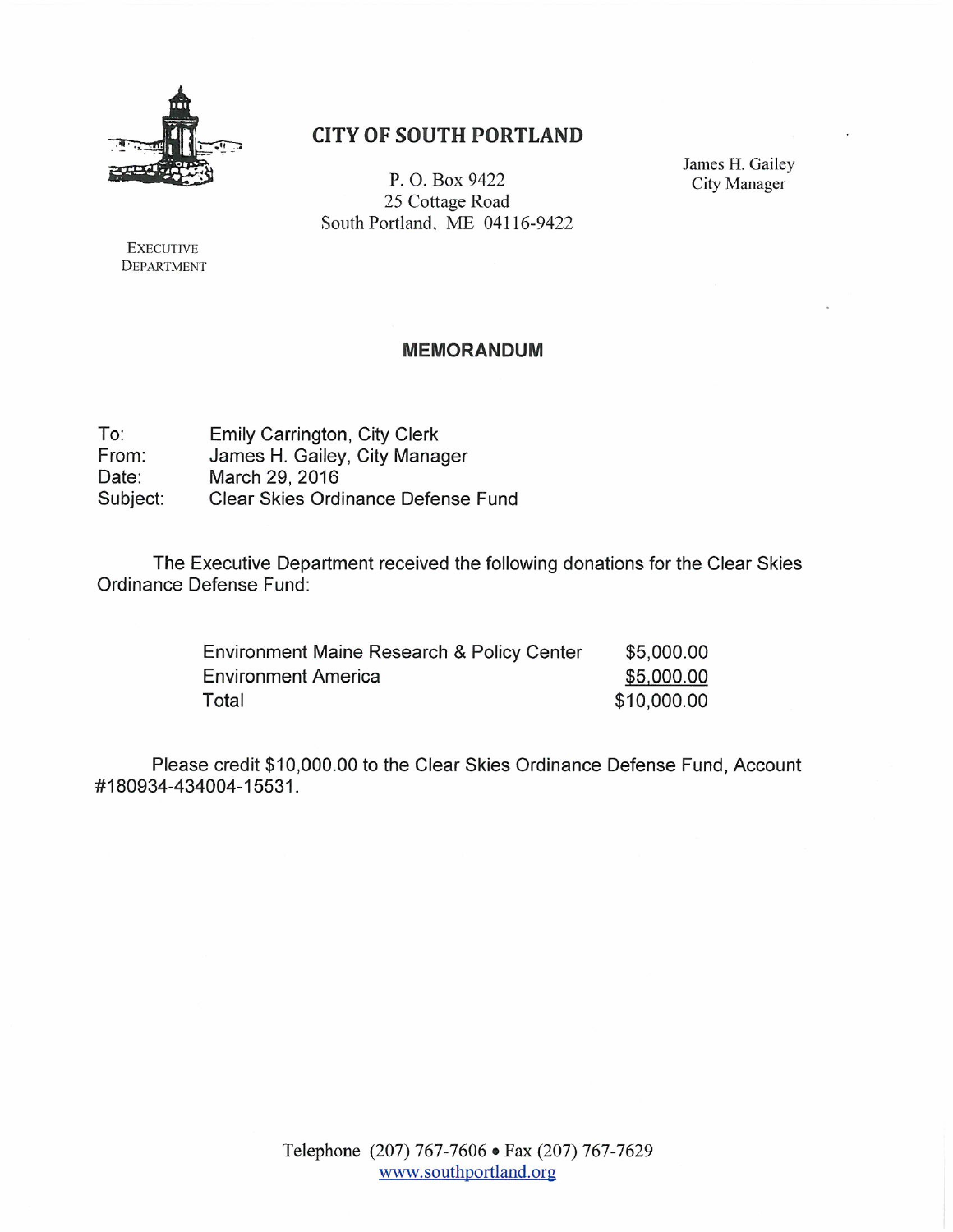

### **CITY OF SOUTH PORTLAND**

P.O. Box 9422 25 Cottage Road South Portland, ME 04116-9422 James H. Gailey **City Manager** 

**EXECUTIVE DEPARTMENT** 

#### **MEMORANDUM**

To: Emily Carrington, City Clerk James H. Gailey, City Manager From: Date: March 29, 2016 Clear Skies Ordinance Defense Fund Subject:

The Executive Department received the following donations for the Clear Skies Ordinance Defense Fund:

| Environment Maine Research & Policy Center | \$5,000.00  |
|--------------------------------------------|-------------|
| <b>Environment America</b>                 | \$5,000.00  |
| Total                                      | \$10,000.00 |

Please credit \$10,000.00 to the Clear Skies Ordinance Defense Fund, Account #180934-434004-15531.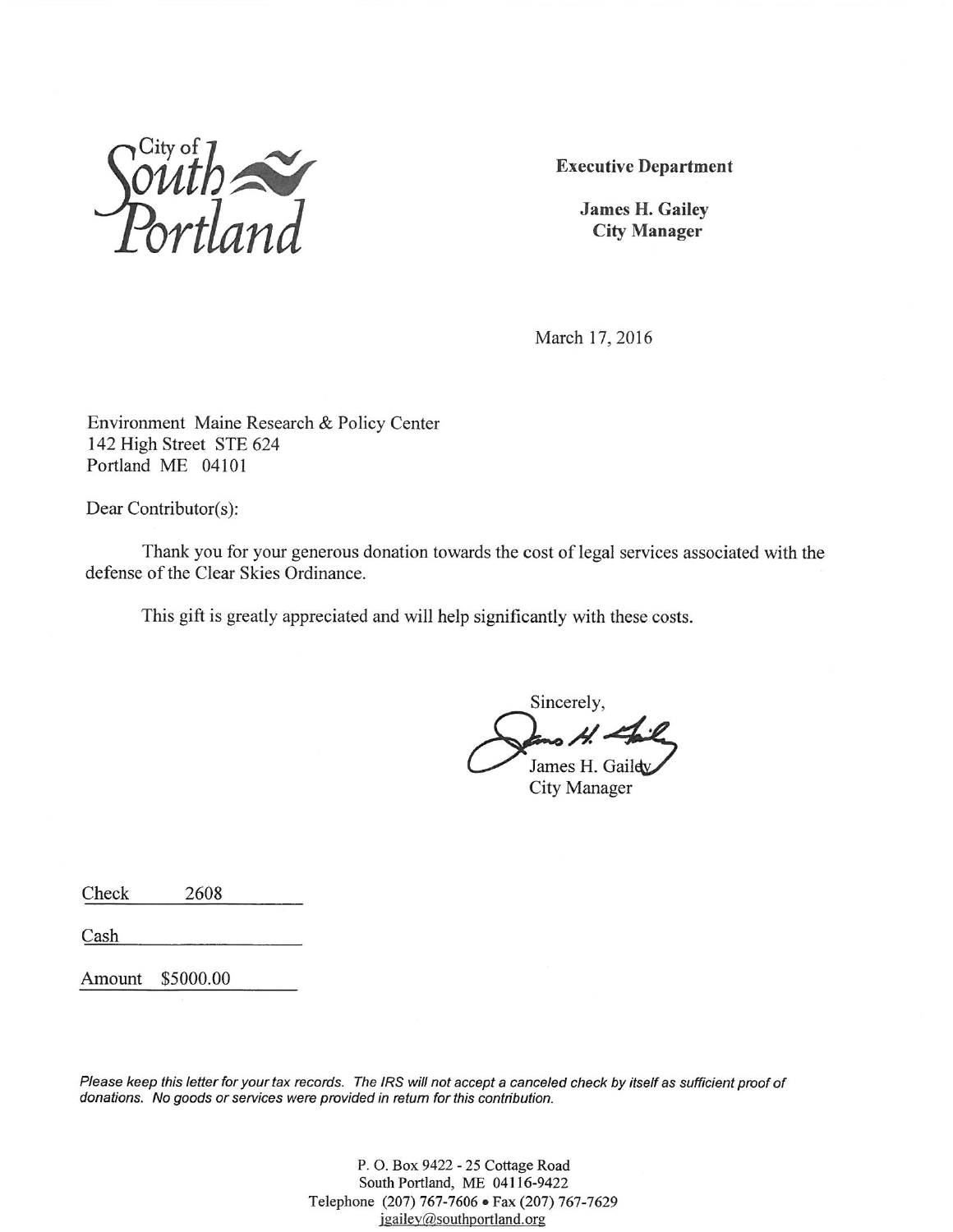

**Executive Department** 

**James H. Gailey City Manager** 

March 17, 2016

Environment Maine Research & Policy Center 142 High Street STE 624 Portland ME 04101

Dear Contributor(s):

Thank you for your generous donation towards the cost of legal services associated with the defense of the Clear Skies Ordinance.

This gift is greatly appreciated and will help significantly with these costs.

Sincerely, James H. Gaildy **City Manager** 

Check 2608

Cash

Amount \$5000.00

Please keep this letter for your tax records. The IRS will not accept a canceled check by itself as sufficient proof of donations. No goods or services were provided in return for this contribution.

> P. O. Box 9422 - 25 Cottage Road South Portland, ME 04116-9422 Telephone (207) 767-7606 · Fax (207) 767-7629 jgailey@southportland.org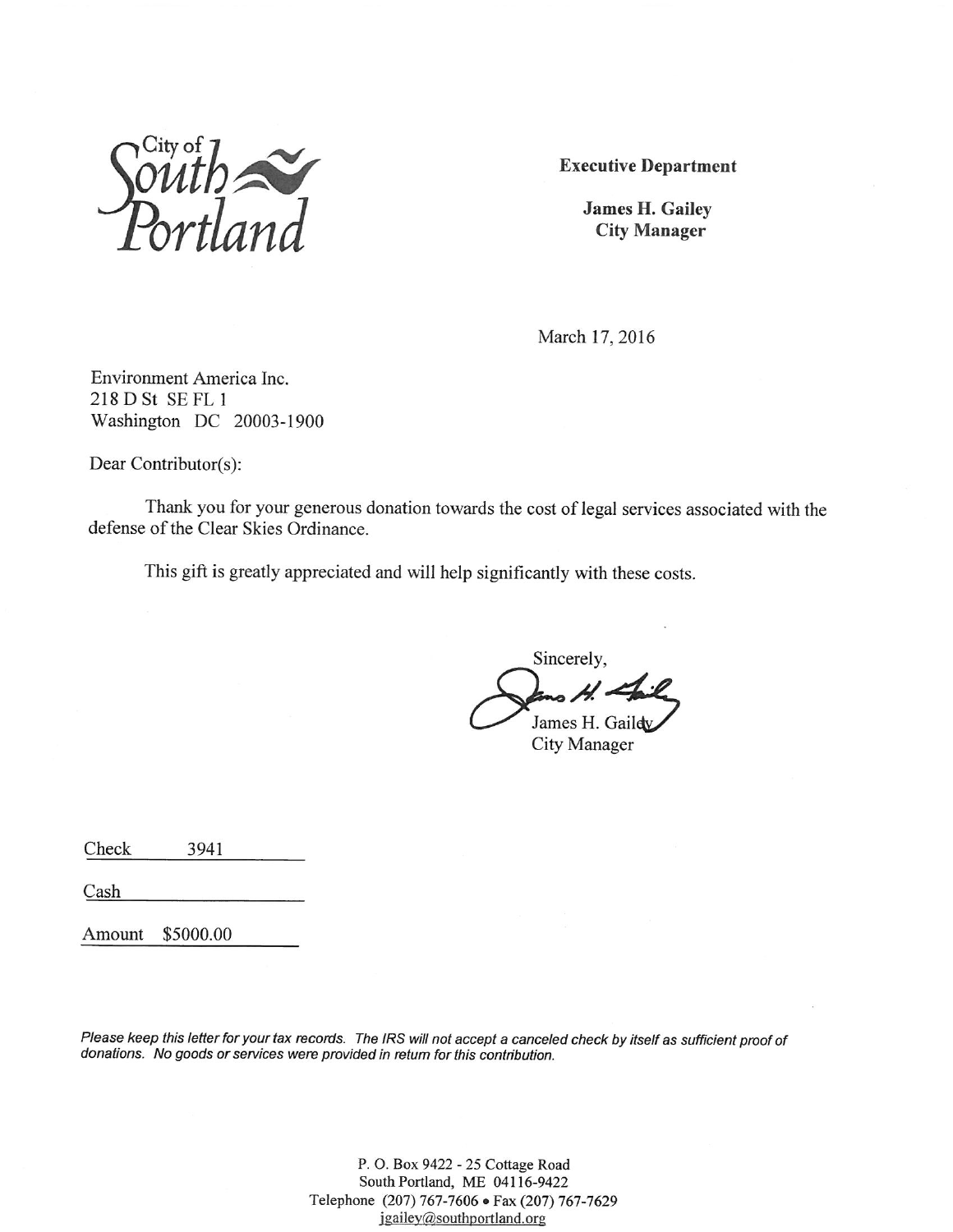

**Executive Department** 

**James H. Gailey City Manager** 

March 17, 2016

Environment America Inc. 218 D St SE FL 1 Washington DC 20003-1900

Dear Contributor(s):

Thank you for your generous donation towards the cost of legal services associated with the defense of the Clear Skies Ordinance.

This gift is greatly appreciated and will help significantly with these costs.

Sincerely, James H. Gaildy **City Manager** 

3941 Check

Cash

Amount \$5000.00

Please keep this letter for your tax records. The IRS will not accept a canceled check by itself as sufficient proof of donations. No goods or services were provided in return for this contribution.

> P. O. Box 9422 - 25 Cottage Road South Portland, ME 04116-9422 Telephone (207) 767-7606 · Fax (207) 767-7629 jgailey@southportland.org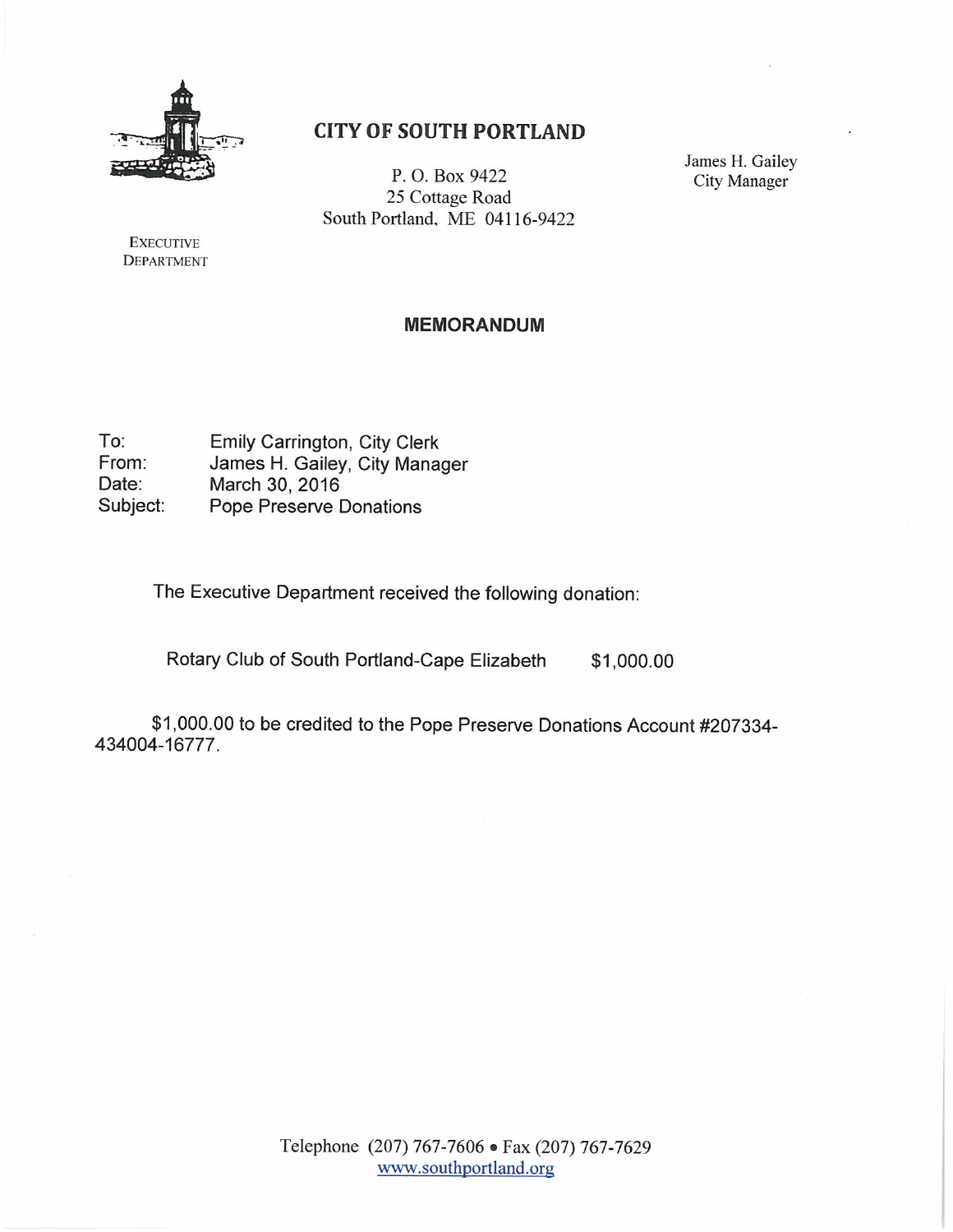

### **CITY OF SOUTH PORTLAND**

P.O. Box 9422 25 Cottage Road South Portland, ME 04116-9422 James H. Gailey **City Manager** 

**EXECUTIVE DEPARTMENT** 

#### **MEMORANDUM**

 $To:$ Emily Carrington, City Clerk From: James H. Gailey, City Manager March 30, 2016 Date: Subject: Pope Preserve Donations

The Executive Department received the following donation:

Rotary Club of South Portland-Cape Elizabeth \$1,000.00

\$1,000.00 to be credited to the Pope Preserve Donations Account #207334-434004-16777.